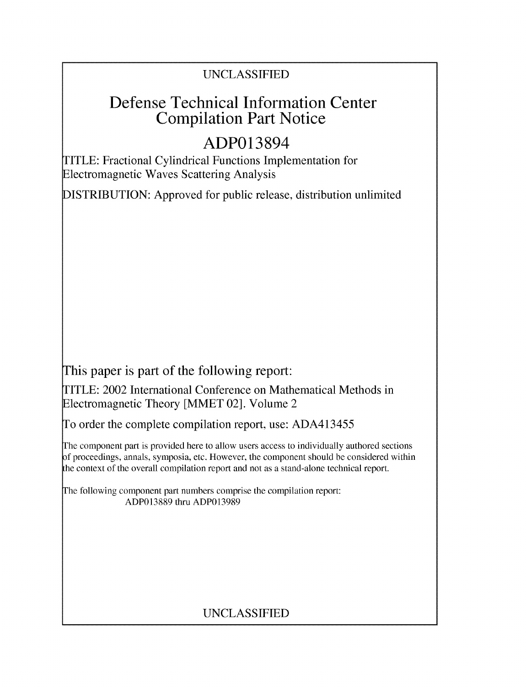## UNCLASSIFIED

## Defense Technical Information Center Compilation Part Notice

# **ADP013894**

TITLE: Fractional Cylindrical Functions Implementation for Electromagnetic Waves Scattering Analysis

DISTRIBUTION: Approved for public release, distribution unlimited

This paper is part of the following report:

TITLE: 2002 International Conference on Mathematical Methods in Electromagnetic Theory [MMET 02]. Volume 2

To order the complete compilation report, use: ADA413455

The component part is provided here to allow users access to individually authored sections f proceedings, annals, symposia, etc. However, the component should be considered within the context of the overall compilation report and not as a stand-alone technical report.

The following component part numbers comprise the compilation report: ADP013889 thru ADP013989

## UNCLASSIFIED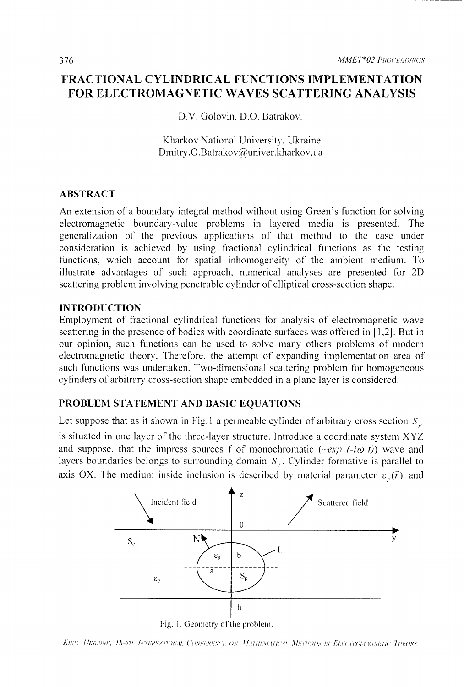### FRACTIONAL CYLINDRICAL **FUNCTIONS IMPLEMENTATION** FOR **ELECTROMAGNETIC** WAVES **SCATTERING ANALYSIS**

D.V. Golovin, D.O. Batrakov.

Kharkov National University, Ukraine Dmitry.O.Batrakov@univer.kharkov.ua

#### ABSTRACT

An extension of a boundary integral method without using Green's function for solving electromagnetic boundary-value problems in layered media is presented. The generalization of the previous applications of that method to the case under consideration is achieved by using firactional cylindrical functions as the testing functions, which account for spatial inhomogeneity of the ambient medium. To illustrate advantages of such approach. numerical analyses are presented for 2D scattering problem involving penetrable cylinder of elliptical cross-section shape.

#### **INTRODUCTION**

Employment of fractional cylindrical functions for analysis of electromagnetic wave scattering in the presence of bodies with coordinate surfaces was offered in [1,2]. But in our opinion, such functions can be used to solve many others problems of modern electromagnetic theory. Therefore., the attempt of expanding implementation area of such functions was undertaken. Two-dimensional scattering problem for homogeneous cylinders of arbitrary cross-section shape embedded in a plane layer is considered.

#### PROBLEM **STATEMENT AND BASIC EQUATIONS**

Let suppose that as it shown in Fig.1 a permeable cylinder of arbitrary cross section  $S_n$ is situated in one layer of the three-layer structure. Introduce a coordinate system XYZ and suppose, that the impress sources f of monochromatic  $(\sim e^{i\omega t})$  wave and layers boundaries belongs to surrounding domain  $S<sub>e</sub>$ . Cylinder formative is parallel to axis OX. The medium inside inclusion is described by material parameter  $\varepsilon_n(\vec{r})$  and



Fig. **1.** Geometry of the problem.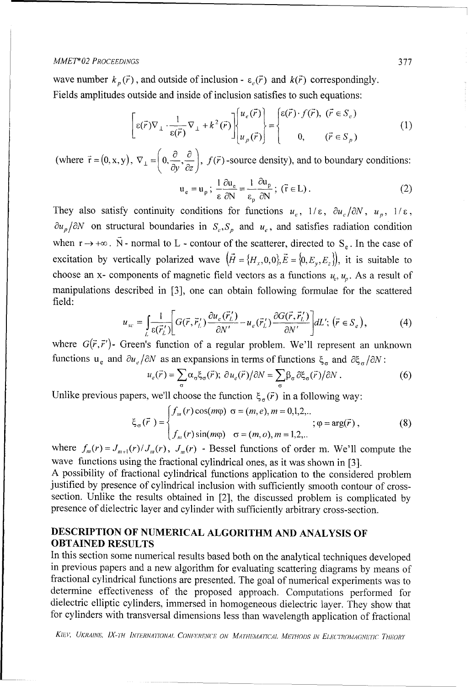#### *MMET\* 02 PROCEEDINGS* 377

wave number  $k_p(\vec{r})$ , and outside of inclusion -  $\varepsilon_e(\vec{r})$  and  $k(\vec{r})$  correspondingly. Fields amplitudes outside and inside of inclusion satisfies to such equations:

$$
\left[\varepsilon(\vec{r})\nabla_{\perp} \cdot \frac{1}{\varepsilon(\vec{r})}\nabla_{\perp} + k^2(\vec{r})\right] \begin{pmatrix} u_e(\vec{r}) \\ u_p(\vec{r}) \end{pmatrix} = \begin{cases} \varepsilon(\vec{r}) \cdot f(\vec{r}), \ (\vec{r} \in S_e) \\ 0, \quad (\vec{r} \in S_p) \end{cases}
$$
 (1)

(where  $\vec{r} = (0, x, y), \nabla_1 = \left(0, \frac{\partial}{\partial y}, \frac{\partial}{\partial z}\right), f(\vec{r})$ -source density), and to boundary conditions:

$$
\mathbf{u}_{e} = \mathbf{u}_{p} \, ; \, \frac{1}{\varepsilon} \frac{\partial \mathbf{u}_{e}}{\partial \mathbf{N}} = \frac{1}{\varepsilon_{p}} \frac{\partial \mathbf{u}_{p}}{\partial \mathbf{N}} \, ; \, (\vec{r} \in \mathbf{L}) \, . \tag{2}
$$

They also satisfy continuity conditions for functions  $u_e$ ,  $1/\varepsilon$ ,  $\partial u_e/\partial N$ ,  $u_p$ ,  $1/\varepsilon$ ,  $\partial u_p/\partial N$  on structural boundaries in  $S_e$ ,  $S_p$  and  $u_e$ , and satisfies radiation condition when  $r \to +\infty$ .  $\vec{N}$  - normal to L - contour of the scatterer, directed to S<sub>e</sub>. In the case of excitation by vertically polarized wave  $(\vec{H} = \{H_x, 0, 0\}, \vec{E} = \{0, E_y, E_z\})$ , it is suitable to choose an x- components of magnetic field vectors as a functions  $u_e$ ,  $u_p$ . As a result of manipulations described in [3], one can obtain following formulae for the scattered field:

$$
u_{sc} = \int_{L} \frac{1}{\varepsilon(\vec{r}'_{L})} \left[ G(\vec{r}, \vec{r}'_{L}) \frac{\partial u_{e}(\vec{r}'_{L})}{\partial N'} - u_{e}(\vec{r}'_{L}) \frac{\partial G(\vec{r}, \vec{r}'_{L})}{\partial N'} \right] dL'; \left( \vec{r} \in S_{e} \right), \tag{4}
$$

where  $G(\vec{r}, \vec{r}')$ - Green's function of a regular problem. We'll represent an unknown functions  $u_e$  and  $\partial u_e/\partial N$  as an expansions in terms of functions  $\xi_a$  and  $\partial \xi_a/\partial N$ :

$$
u_e(\vec{r}) = \sum_{\sigma} \alpha_{\sigma} \xi_{\sigma}(\vec{r}); \ \partial u_e(\vec{r}) / \partial N = \sum_{\sigma} \beta_{\sigma} \partial \xi_{\sigma}(\vec{r}) / \partial N. \tag{6}
$$

Unlike previous papers, we'll choose the function  $\xi_{\sigma}(\vec{r})$  in a following way:

$$
\xi_{\sigma}(\vec{r}) = \begin{cases} f_m(r) \cos(m\varphi) & \sigma = (m, e), m = 0, 1, 2, ... \\ f_m(r) \sin(m\varphi) & \sigma = (m, o), m = 1, 2, ... \end{cases}
$$
 (8)

where  $f_m(r) = J_{m+1}(r)/J_m(r)$ ,  $J_m(r)$  - Bessel functions of order m. We'll compute the wave functions using the fractional cylindrical ones, as it was shown in [3].

A possibility of fractional cylindrical functions application to the considered problem justified by presence of cylindrical inclusion with sufficiently smooth contour of crosssection. Unlike the results obtained in [2], the discussed problem is complicated by presence of dielectric layer and cylinder with sufficiently arbitrary cross-section.

#### **DESCRIPTION** OF **NUMERICAL** ALGORITHM **AND ANALYSIS** OF **OBTAINED RESULTS**

In this section some numerical results based both on the analytical techniques developed in previous papers and a new algorithm for evaluating scattering diagrams by means of fractional cylindrical functions are presented. The goal of numerical experiments was to determine effectiveness of the proposed approach. Computations performed for dielectric elliptic cylinders, immersed in homogeneous dielectric layer. They show that for cylinders with transversal dimensions less than wavelength application of fractional

KIEV, UKRAINE, IX-TH INTERNATIONAL CONFERENCE ON MATHEMATICAL METHODS IN ELECTROMAGNETIC THEORY